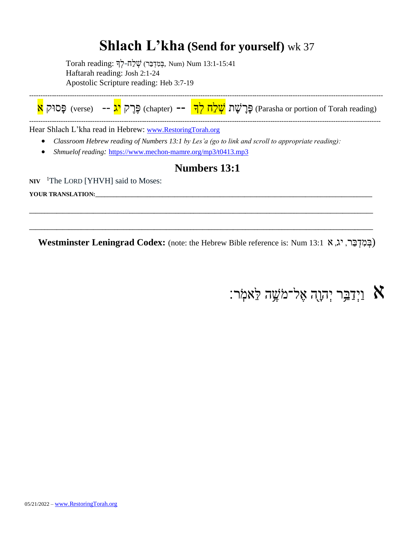### **Shlach L'kha (Send for yourself)** wk 37

 $T$ orah reading: בְּמִדְּבַּר) שְׁלַח-לְךָ Num) Num 13:1-15:41 Haftarah reading: Josh 2:1-24 Apostolic Scripture reading: Heb 3:7-19



Hear Shlach L'kha read in Hebrew: [www.RestoringTorah.org](http://www.restoringtorah.org/)

- *Classroom Hebrew reading of Numbers 13:1 by Les'a (go to link and scroll to appropriate reading):*
- *Shmuelof reading:* <https://www.mechon-mamre.org/mp3/t0413.mp3>

#### **Numbers 13:1**

**NIV** <sup>1</sup>The LORD [YHVH] said to Moses:

YOUR TRANSLATION:

**Westminster Leningrad Codex:** (note: the Hebrew Bible reference is: Num 13:1א , יג ,רַּב ְּד ִמ ְּב(

**\_\_\_\_\_\_\_\_\_\_\_\_\_\_\_\_\_\_\_\_\_\_\_\_\_\_\_\_\_\_\_\_\_\_\_\_\_\_\_\_\_\_\_\_\_\_\_\_\_\_\_\_\_\_\_\_\_\_\_\_\_\_\_\_\_\_\_\_\_\_\_\_\_\_\_\_\_\_\_\_\_\_\_\_\_\_\_\_\_\_\_\_\_\_\_\_\_\_\_\_\_\_\_\_\_\_\_\_\_\_\_\_\_**

**\_\_\_\_\_\_\_\_\_\_\_\_\_\_\_\_\_\_\_\_\_\_\_\_\_\_\_\_\_\_\_\_\_\_\_\_\_\_\_\_\_\_\_\_\_\_\_\_\_\_\_\_\_\_\_\_\_\_\_\_\_\_\_\_\_\_\_\_\_\_\_\_\_\_\_\_\_\_\_\_\_\_\_\_\_\_\_\_\_\_\_\_\_\_\_\_\_\_\_\_\_\_\_\_\_\_\_\_\_\_\_\_\_**

וַיְּדַבֵּ֣ר יְהוָה אֶל־מֹשֶׁה לֵּאמִׂר:  $\aleph$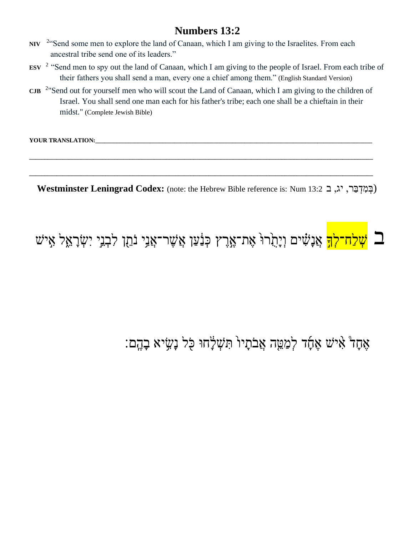- NIV <sup>2</sup> Send some men to explore the land of Canaan, which I am giving to the Israelites. From each ancestral tribe send one of its leaders."
- **ESV** <sup>2</sup> "Send men to spy out the land of Canaan, which I am giving to the people of Israel. From each tribe of their fathers you shall send a man, every one a chief among them." (English Standard Version)
- **CJB**  2 "Send out for yourself men who will scout the Land of Canaan, which I am giving to the children of Israel. You shall send one man each for his father's tribe; each one shall be a chieftain in their midst." (Complete Jewish Bible)

**\_\_\_\_\_\_\_\_\_\_\_\_\_\_\_\_\_\_\_\_\_\_\_\_\_\_\_\_\_\_\_\_\_\_\_\_\_\_\_\_\_\_\_\_\_\_\_\_\_\_\_\_\_\_\_\_\_\_\_\_\_\_\_\_\_\_\_\_\_\_\_\_\_\_\_\_\_\_\_\_\_\_\_\_\_\_\_\_\_\_\_\_\_\_\_\_\_\_\_\_\_\_\_\_\_\_\_\_\_\_\_\_\_**

**\_\_\_\_\_\_\_\_\_\_\_\_\_\_\_\_\_\_\_\_\_\_\_\_\_\_\_\_\_\_\_\_\_\_\_\_\_\_\_\_\_\_\_\_\_\_\_\_\_\_\_\_\_\_\_\_\_\_\_\_\_\_\_\_\_\_\_\_\_\_\_\_\_\_\_\_\_\_\_\_\_\_\_\_\_\_\_\_\_\_\_\_\_\_\_\_\_\_\_\_\_\_\_\_\_\_\_\_\_\_\_\_\_**

YOUR TRANSLATION:

**Westminster Leningrad Codex:** (note: the Hebrew Bible reference is: Num 13:2ב , יג ,רַּב ְּד ִמ ְּב(

# ב <mark>שָׁלַח־לְךָ</mark> אֲנָשִׂים וְיָהָוֹרוּ אֶת־אֱרֶץ כְּנַּ֫עַן אֲשֶׁר־אֲנִי נֹהֵן לִבְנֵי יִשְׂרָאֵל אָישׁ  $\Box$

## אֶחָד៏ אִיּשׁ אֵתָּדׁ לִמַּטֵּ֣ה אֲבֹתָיוֹ חִשְׁלָּחוּ כָּל נָשְׂיא בָהֶם: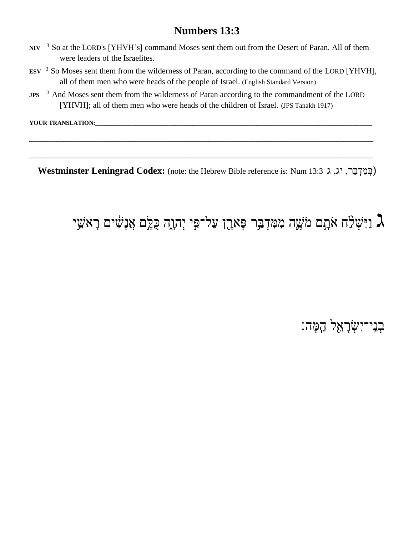- **NIV** <sup>3</sup> So at the LORD's [YHVH's] command Moses sent them out from the Desert of Paran. All of them were leaders of the Israelites.
- **ESV** <sup>3</sup> So Moses sent them from the wilderness of Paran, according to the command of the LORD [YHVH], all of them men who were heads of the people of Israel. (English Standard Version)
- **JPS** <sup>3</sup> And Moses sent them from the wilderness of Paran according to the commandment of the LORD [YHVH]; all of them men who were heads of the children of Israel. (JPS Tanakh 1917)

**\_\_\_\_\_\_\_\_\_\_\_\_\_\_\_\_\_\_\_\_\_\_\_\_\_\_\_\_\_\_\_\_\_\_\_\_\_\_\_\_\_\_\_\_\_\_\_\_\_\_\_\_\_\_\_\_\_\_\_\_\_\_\_\_\_\_\_\_\_\_\_\_\_\_\_\_\_\_\_\_\_\_\_\_\_\_\_\_\_\_\_\_\_\_\_\_\_\_\_\_\_\_\_\_\_\_\_\_\_\_\_\_\_**

**\_\_\_\_\_\_\_\_\_\_\_\_\_\_\_\_\_\_\_\_\_\_\_\_\_\_\_\_\_\_\_\_\_\_\_\_\_\_\_\_\_\_\_\_\_\_\_\_\_\_\_\_\_\_\_\_\_\_\_\_\_\_\_\_\_\_\_\_\_\_\_\_\_\_\_\_\_\_\_\_\_\_\_\_\_\_\_\_\_\_\_\_\_\_\_\_\_\_\_\_\_\_\_\_\_\_\_\_\_\_\_\_\_**

YOUR TRANSLATION:

**Westminster Leningrad Codex:** (note: the Hebrew Bible reference is: Num 13:3ג , יג ,רַּב ְּד ִמ ְּב(

### נִיּּשְׁלֵּה אֹתָם מֹשֶׁה מִמִּדְבַּר פָּארֶן עַל־פִּי יְהוֶה כִּלְָם אֲנָשִׁים רָאשֵׁי  $\lambda$

ּבְנִי־יִשְׂרָאֵל הֵמָּה: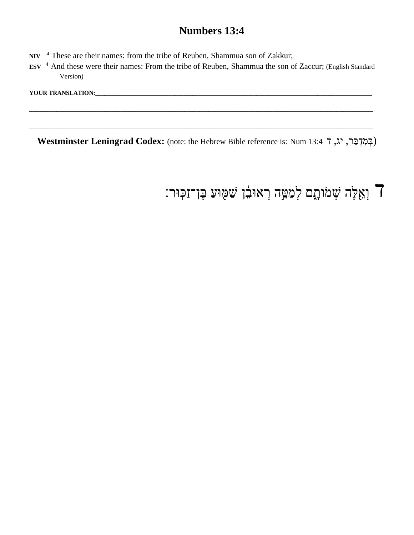- **NIV** <sup>4</sup> These are their names: from the tribe of Reuben, Shammua son of Zakkur;
- **ESV** <sup>4</sup> And these were their names: From the tribe of Reuben, Shammua the son of Zaccur; (English Standard Version)

**\_\_\_\_\_\_\_\_\_\_\_\_\_\_\_\_\_\_\_\_\_\_\_\_\_\_\_\_\_\_\_\_\_\_\_\_\_\_\_\_\_\_\_\_\_\_\_\_\_\_\_\_\_\_\_\_\_\_\_\_\_\_\_\_\_\_\_\_\_\_\_\_\_\_\_\_\_\_\_\_\_\_\_\_\_\_\_\_\_\_\_\_\_\_\_\_\_\_\_\_\_\_\_\_\_\_\_\_\_\_\_\_\_**

**\_\_\_\_\_\_\_\_\_\_\_\_\_\_\_\_\_\_\_\_\_\_\_\_\_\_\_\_\_\_\_\_\_\_\_\_\_\_\_\_\_\_\_\_\_\_\_\_\_\_\_\_\_\_\_\_\_\_\_\_\_\_\_\_\_\_\_\_\_\_\_\_\_\_\_\_\_\_\_\_\_\_\_\_\_\_\_\_\_\_\_\_\_\_\_\_\_\_\_\_\_\_\_\_\_\_\_\_\_\_\_\_\_**

YOUR TRANSLATION:\_\_\_\_

**Westminster Leningrad Codex:** (note: the Hebrew Bible reference is: Num 13:4ד , יג ,רַּב ְּד ִמ ְּב(

ן וְאֵלֶּה שְׁמֹותָם לְמַטֵּה רְאוּבֵר שַׁמְּוּעַ בֶּן־זַכְּוּר: **]**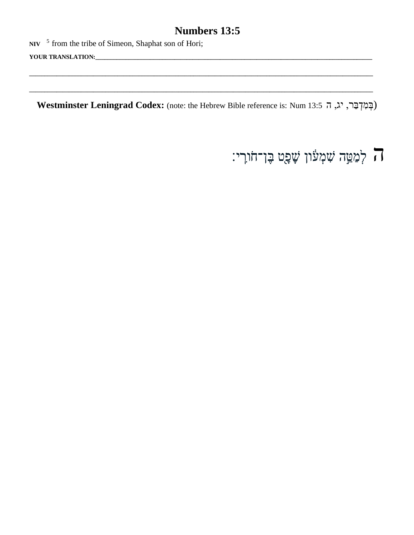NIV  $\frac{5}{7}$  from the tribe of Simeon, Shaphat son of Hori;

Westminster Leningrad Codex: (note: the Hebrew Bible reference is: Num 13:5 יג, ה ז 13:5

ה לְמַמֵּה שִׁמְעוֹן שָׁפָט בֶּן־חֹורִי: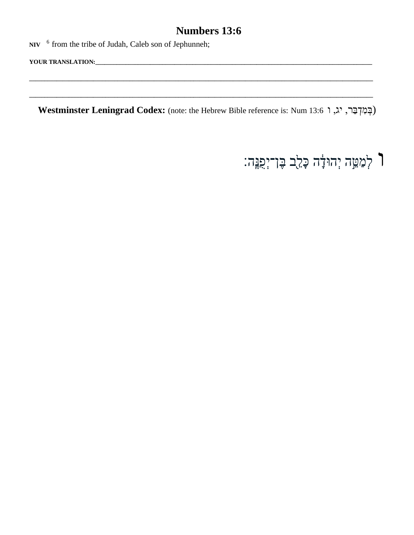NIV <sup>6</sup> from the tribe of Judah, Caleb son of Jephunneh;

Westminster Leningrad Codex: (note: the Hebrew Bible reference is: Num 13:6 וְבְמִדְבֵּר, יג, ו

ך לְמַמֵּה יְהוּדָ<del>ׂ</del>ה כָּלֵב בֶּן־יְפָגֶּה: